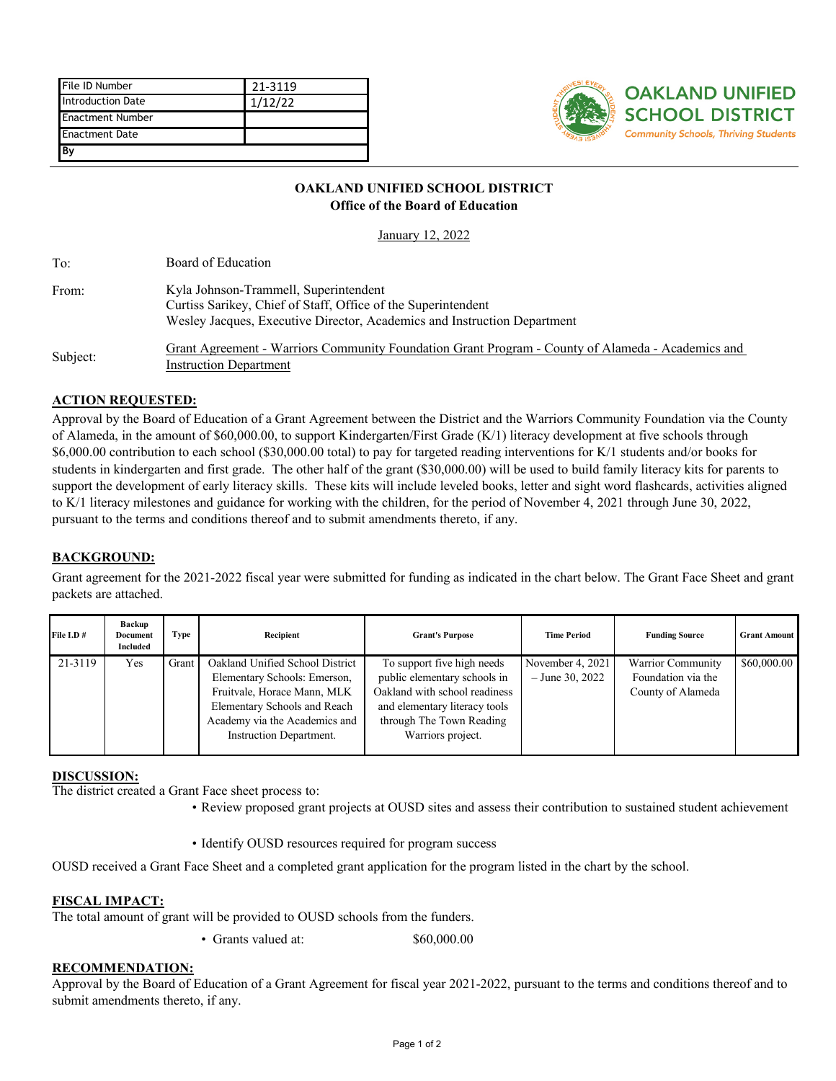| File ID Number          | 21-3119 |
|-------------------------|---------|
| Introduction Date       | 1/12/22 |
| <b>Enactment Number</b> |         |
| <b>Enactment Date</b>   |         |
| IΒ۱                     |         |



#### **OAKLAND UNIFIED SCHOOL DISTRICT Office of the Board of Education**

January 12, 2022

| To:      | Board of Education                                                                                                                                                                 |
|----------|------------------------------------------------------------------------------------------------------------------------------------------------------------------------------------|
| From:    | Kyla Johnson-Trammell, Superintendent<br>Curtiss Sarikey, Chief of Staff, Office of the Superintendent<br>Wesley Jacques, Executive Director, Academics and Instruction Department |
| Subject: | Grant Agreement - Warriors Community Foundation Grant Program - County of Alameda - Academics and<br>Instruction Department                                                        |

## **ACTION REQUESTED:**

Approval by the Board of Education of a Grant Agreement between the District and the Warriors Community Foundation via the County of Alameda, in the amount of \$60,000.00, to support Kindergarten/First Grade (K/1) literacy development at five schools through \$6,000.00 contribution to each school (\$30,000.00 total) to pay for targeted reading interventions for K/1 students and/or books for students in kindergarten and first grade. The other half of the grant (\$30,000.00) will be used to build family literacy kits for parents to support the development of early literacy skills. These kits will include leveled books, letter and sight word flashcards, activities aligned to K/1 literacy milestones and guidance for working with the children, for the period of November 4, 2021 through June 30, 2022, pursuant to the terms and conditions thereof and to submit amendments thereto, if any.

#### **BACKGROUND:**

Grant agreement for the 2021-2022 fiscal year were submitted for funding as indicated in the chart below. The Grant Face Sheet and grant packets are attached.

| File I.D $#$ | Backup<br><b>Document</b><br>Included | Type  | Recipient                                                                                                                                                                                  | <b>Grant's Purpose</b>                                                                                                                                                        | <b>Time Period</b>                    | <b>Funding Source</b>                                        | <b>Grant Amount</b> |
|--------------|---------------------------------------|-------|--------------------------------------------------------------------------------------------------------------------------------------------------------------------------------------------|-------------------------------------------------------------------------------------------------------------------------------------------------------------------------------|---------------------------------------|--------------------------------------------------------------|---------------------|
| 21-3119      | Yes                                   | Grant | Oakland Unified School District<br>Elementary Schools: Emerson,<br>Fruitvale, Horace Mann, MLK<br>Elementary Schools and Reach<br>Academy via the Academics and<br>Instruction Department. | To support five high needs<br>public elementary schools in<br>Oakland with school readiness<br>and elementary literacy tools<br>through The Town Reading<br>Warriors project. | November 4, 2021<br>$-$ June 30, 2022 | Warrior Community<br>Foundation via the<br>County of Alameda | \$60,000.00         |

#### **DISCUSSION:**

The district created a Grant Face sheet process to:

- Review proposed grant projects at OUSD sites and assess their contribution to sustained student achievement
- Identify OUSD resources required for program success

OUSD received a Grant Face Sheet and a completed grant application for the program listed in the chart by the school.

#### **FISCAL IMPACT:**

The total amount of grant will be provided to OUSD schools from the funders.

\$60,000.00 • Grants valued at:

#### **RECOMMENDATION:**

Approval by the Board of Education of a Grant Agreement for fiscal year 2021-2022, pursuant to the terms and conditions thereof and to submit amendments thereto, if any.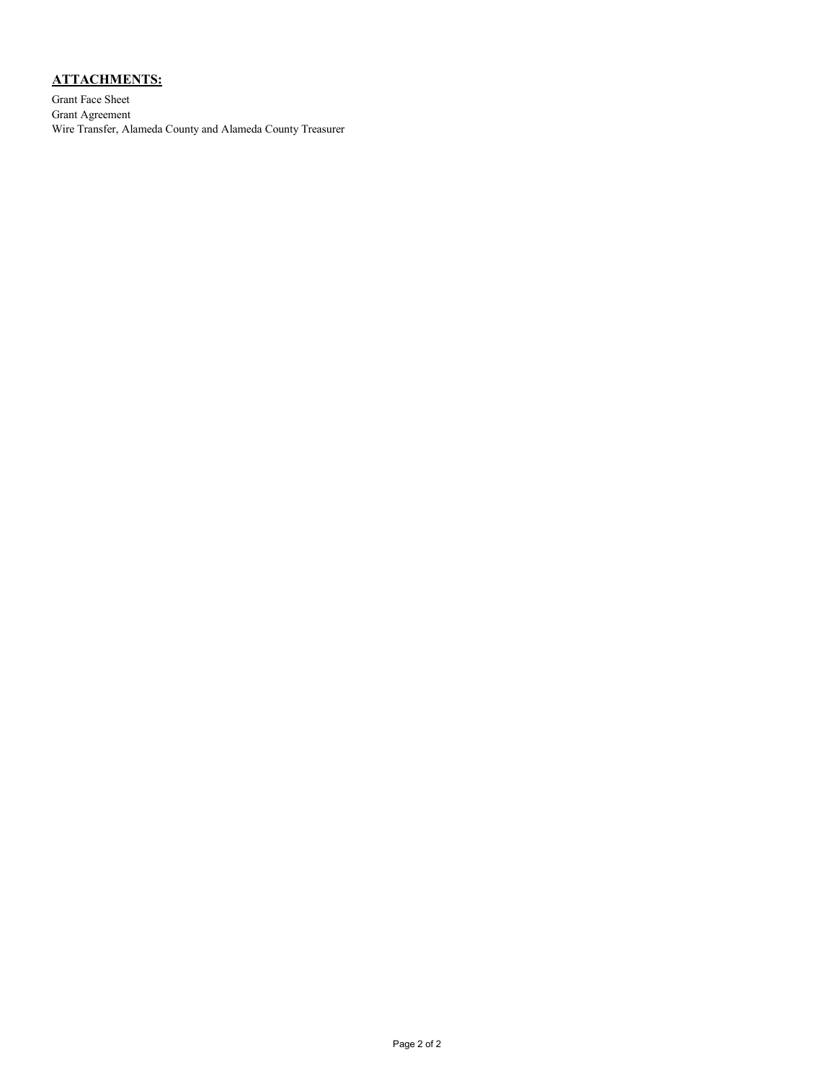### **ATTACHMENTS:**

Grant Face Sheet Grant Agreement Wire Transfer, Alameda County and Alameda County Treasurer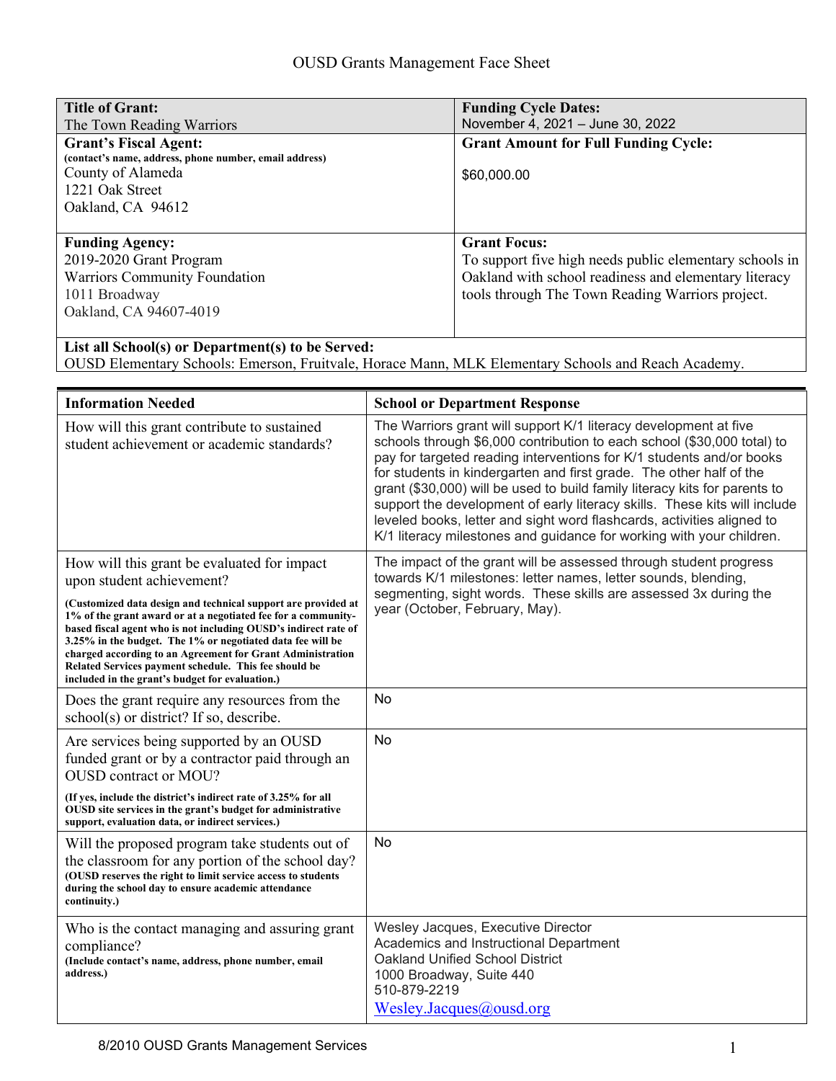| <b>Title of Grant:</b>                                                                 | <b>Funding Cycle Dates:</b>                             |
|----------------------------------------------------------------------------------------|---------------------------------------------------------|
| The Town Reading Warriors                                                              | November 4, 2021 - June 30, 2022                        |
| <b>Grant's Fiscal Agent:</b><br>(contact's name, address, phone number, email address) | <b>Grant Amount for Full Funding Cycle:</b>             |
| County of Alameda                                                                      | \$60,000.00                                             |
| 1221 Oak Street                                                                        |                                                         |
| Oakland, CA 94612                                                                      |                                                         |
|                                                                                        |                                                         |
| <b>Funding Agency:</b>                                                                 | <b>Grant Focus:</b>                                     |
| 2019-2020 Grant Program                                                                | To support five high needs public elementary schools in |
| <b>Warriors Community Foundation</b>                                                   | Oakland with school readiness and elementary literacy   |
| 1011 Broadway                                                                          | tools through The Town Reading Warriors project.        |
| Oakland, CA 94607-4019                                                                 |                                                         |
|                                                                                        |                                                         |

#### **List all School(s) or Department(s) to be Served:**

OUSD Elementary Schools: Emerson, Fruitvale, Horace Mann, MLK Elementary Schools and Reach Academy.

| <b>Information Needed</b>                                                                                                                                                                                                                                                                                                                                                                                                                 | <b>School or Department Response</b>                                                                                                                                                                                                                                                                                                                                                                                                                                                                                                                                                                    |  |
|-------------------------------------------------------------------------------------------------------------------------------------------------------------------------------------------------------------------------------------------------------------------------------------------------------------------------------------------------------------------------------------------------------------------------------------------|---------------------------------------------------------------------------------------------------------------------------------------------------------------------------------------------------------------------------------------------------------------------------------------------------------------------------------------------------------------------------------------------------------------------------------------------------------------------------------------------------------------------------------------------------------------------------------------------------------|--|
| How will this grant contribute to sustained<br>student achievement or academic standards?                                                                                                                                                                                                                                                                                                                                                 | The Warriors grant will support K/1 literacy development at five<br>schools through \$6,000 contribution to each school (\$30,000 total) to<br>pay for targeted reading interventions for K/1 students and/or books<br>for students in kindergarten and first grade. The other half of the<br>grant (\$30,000) will be used to build family literacy kits for parents to<br>support the development of early literacy skills. These kits will include<br>leveled books, letter and sight word flashcards, activities aligned to<br>K/1 literacy milestones and guidance for working with your children. |  |
| How will this grant be evaluated for impact<br>upon student achievement?                                                                                                                                                                                                                                                                                                                                                                  | The impact of the grant will be assessed through student progress<br>towards K/1 milestones: letter names, letter sounds, blending,<br>segmenting, sight words. These skills are assessed 3x during the                                                                                                                                                                                                                                                                                                                                                                                                 |  |
| (Customized data design and technical support are provided at<br>1% of the grant award or at a negotiated fee for a community-<br>based fiscal agent who is not including OUSD's indirect rate of<br>3.25% in the budget. The 1% or negotiated data fee will be<br>charged according to an Agreement for Grant Administration<br>Related Services payment schedule. This fee should be<br>included in the grant's budget for evaluation.) | year (October, February, May).                                                                                                                                                                                                                                                                                                                                                                                                                                                                                                                                                                          |  |
| Does the grant require any resources from the<br>school(s) or district? If so, describe.                                                                                                                                                                                                                                                                                                                                                  | No                                                                                                                                                                                                                                                                                                                                                                                                                                                                                                                                                                                                      |  |
| Are services being supported by an OUSD<br>funded grant or by a contractor paid through an<br><b>OUSD</b> contract or MOU?                                                                                                                                                                                                                                                                                                                | No                                                                                                                                                                                                                                                                                                                                                                                                                                                                                                                                                                                                      |  |
| (If yes, include the district's indirect rate of 3.25% for all<br>OUSD site services in the grant's budget for administrative<br>support, evaluation data, or indirect services.)                                                                                                                                                                                                                                                         |                                                                                                                                                                                                                                                                                                                                                                                                                                                                                                                                                                                                         |  |
| Will the proposed program take students out of<br>the classroom for any portion of the school day?<br>(OUSD reserves the right to limit service access to students<br>during the school day to ensure academic attendance<br>continuity.)                                                                                                                                                                                                 | No                                                                                                                                                                                                                                                                                                                                                                                                                                                                                                                                                                                                      |  |
| Who is the contact managing and assuring grant<br>compliance?<br>(Include contact's name, address, phone number, email<br>address.)                                                                                                                                                                                                                                                                                                       | Wesley Jacques, Executive Director<br>Academics and Instructional Department<br><b>Oakland Unified School District</b><br>1000 Broadway, Suite 440<br>510-879-2219<br>Wesley.Jacques@ousd.org                                                                                                                                                                                                                                                                                                                                                                                                           |  |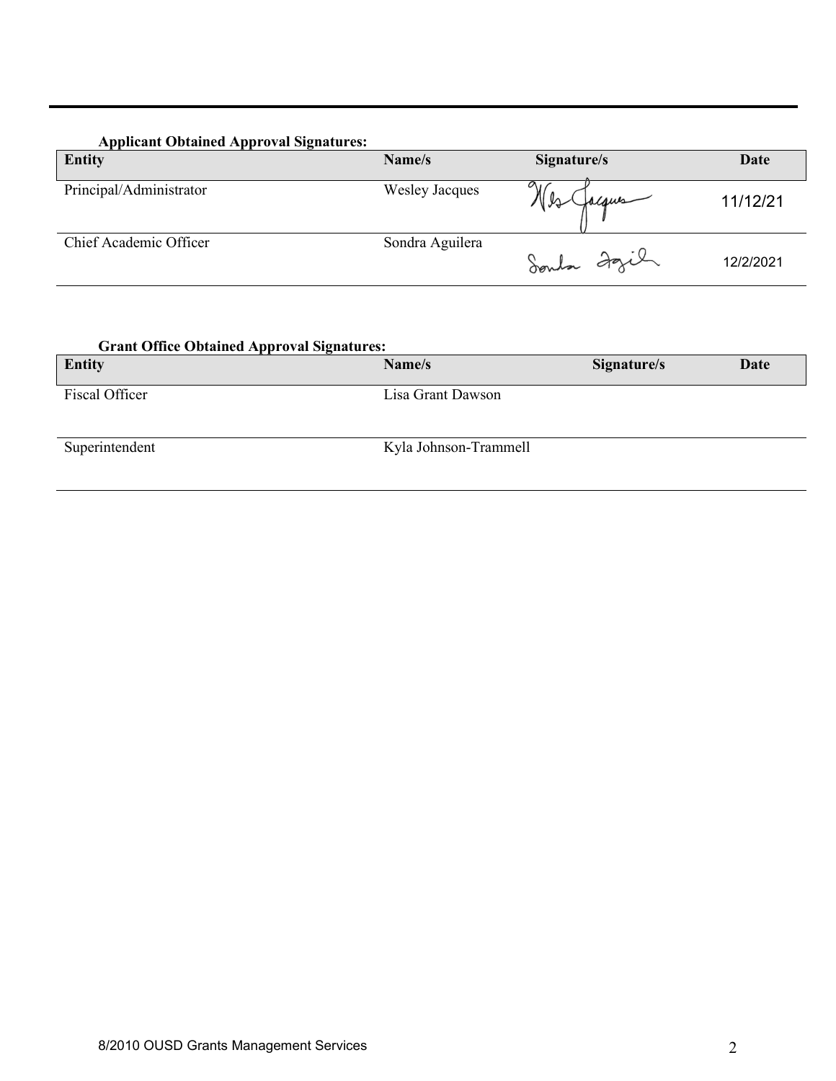## **Applicant Obtained Approval Signatures: Entity Name/s Signature/s Date** Principal/Administrator Wesley Jacques Wes Gacques 11/12/21 Soula Josil Chief Academic Officer Sondra Aguilera 12/2/2021

| <b>Grant Office Obtained Approval Signatures:</b> |                       |             |      |  |
|---------------------------------------------------|-----------------------|-------------|------|--|
| Entity                                            | Name/s                | Signature/s | Date |  |
| Fiscal Officer                                    | Lisa Grant Dawson     |             |      |  |
| Superintendent                                    | Kyla Johnson-Trammell |             |      |  |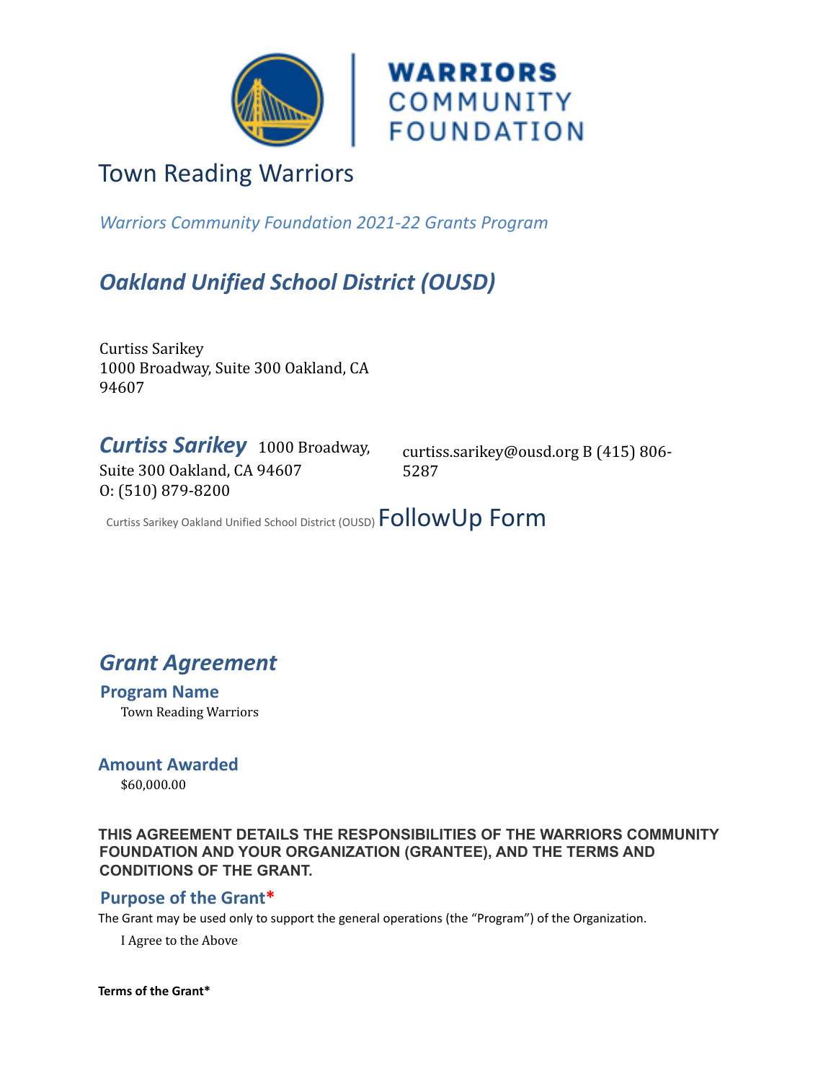

# Town Reading Warriors

*Warriors Community Foundation 2021-22 Grants Program*

# *Oakland Unified School District (OUSD)*

Curtiss Sarikey 1000 Broadway, Suite 300 Oakland, CA 94607

*Curtiss Sarikey* 1000 Broadway, Suite 300 Oakland, CA 94607 O: (510) 879-8200

curtiss.sarikey@ousd.org B (415) 806- 5287

Curtiss Sarikey Oakland Unified School District (OUSD)  $\mathsf{FollowUp}$  Form

## *Grant Agreement*

**Program Name** Town Reading Warriors

## **Amount Awarded**

\$60,000.00

**THIS AGREEMENT DETAILS THE RESPONSIBILITIES OF THE WARRIORS COMMUNITY FOUNDATION AND YOUR ORGANIZATION (GRANTEE), AND THE TERMS AND CONDITIONS OF THE GRANT.**

## **Purpose of the Grant\***

The Grant may be used only to support the general operations (the "Program") of the Organization.

I Agree to the Above

**Terms of the Grant\***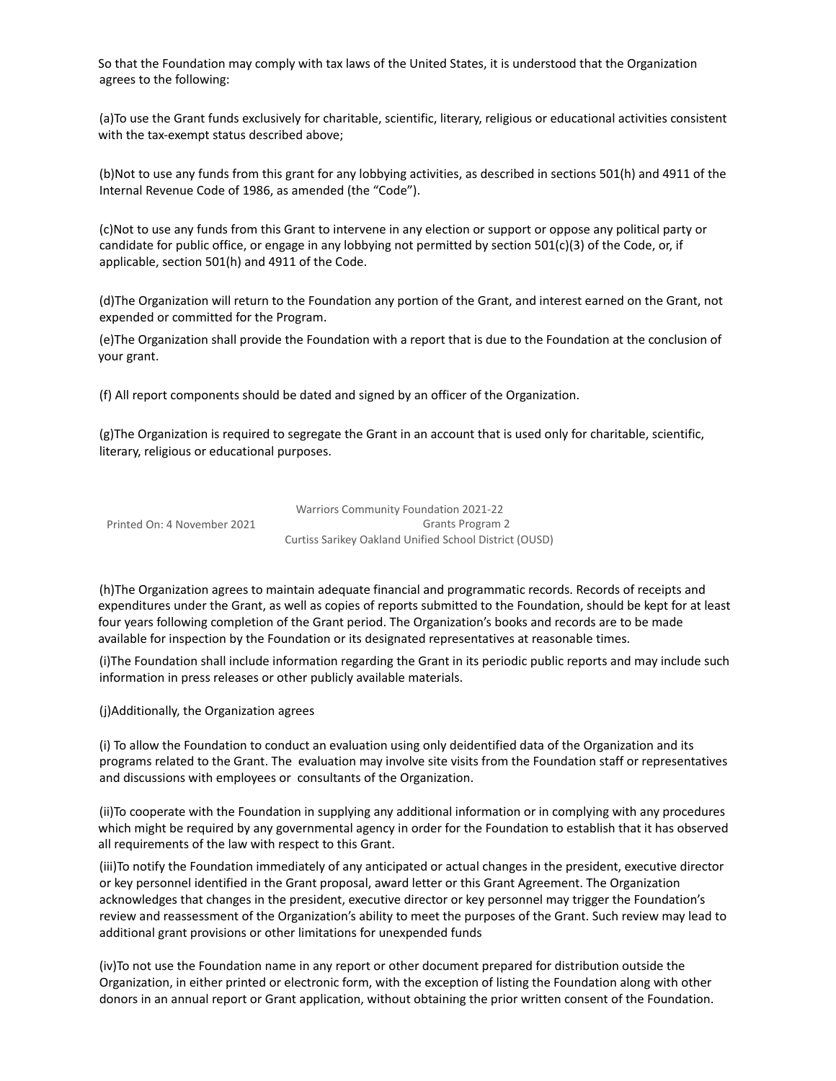So that the Foundation may comply with tax laws of the United States, it is understood that the Organization agrees to the following:

(a)To use the Grant funds exclusively for charitable, scientific, literary, religious or educational activities consistent with the tax-exempt status described above;

(b)Not to use any funds from this grant for any lobbying activities, as described in sections 501(h) and 4911 of the Internal Revenue Code of 1986, as amended (the "Code").

(c)Not to use any funds from this Grant to intervene in any election or support or oppose any political party or candidate for public office, or engage in any lobbying not permitted by section 501(c)(3) of the Code, or, if applicable, section 501(h) and 4911 of the Code.

(d)The Organization will return to the Foundation any portion of the Grant, and interest earned on the Grant, not expended or committed for the Program.

(e)The Organization shall provide the Foundation with a report that is due to the Foundation at the conclusion of your grant.

(f) All report components should be dated and signed by an officer of the Organization.

(g)The Organization is required to segregate the Grant in an account that is used only for charitable, scientific, literary, religious or educational purposes.

|  |  |  | Printed On: 4 November 2021 |  |
|--|--|--|-----------------------------|--|
|--|--|--|-----------------------------|--|

Warriors Community Foundation 2021-22 Grants Program 2 Curtiss Sarikey Oakland Unified School District (OUSD)

(h)The Organization agrees to maintain adequate financial and programmatic records. Records of receipts and expenditures under the Grant, as well as copies of reports submitted to the Foundation, should be kept for at least four years following completion of the Grant period. The Organization's books and records are to be made available for inspection by the Foundation or its designated representatives at reasonable times.

(i)The Foundation shall include information regarding the Grant in its periodic public reports and may include such information in press releases or other publicly available materials.

(j)Additionally, the Organization agrees

(i) To allow the Foundation to conduct an evaluation using only deidentified data of the Organization and its programs related to the Grant. The evaluation may involve site visits from the Foundation staff or representatives and discussions with employees or consultants of the Organization.

(ii)To cooperate with the Foundation in supplying any additional information or in complying with any procedures which might be required by any governmental agency in order for the Foundation to establish that it has observed all requirements of the law with respect to this Grant.

(iii)To notify the Foundation immediately of any anticipated or actual changes in the president, executive director or key personnel identified in the Grant proposal, award letter or this Grant Agreement. The Organization acknowledges that changes in the president, executive director or key personnel may trigger the Foundation's review and reassessment of the Organization's ability to meet the purposes of the Grant. Such review may lead to additional grant provisions or other limitations for unexpended funds

(iv)To not use the Foundation name in any report or other document prepared for distribution outside the Organization, in either printed or electronic form, with the exception of listing the Foundation along with other donors in an annual report or Grant application, without obtaining the prior written consent of the Foundation.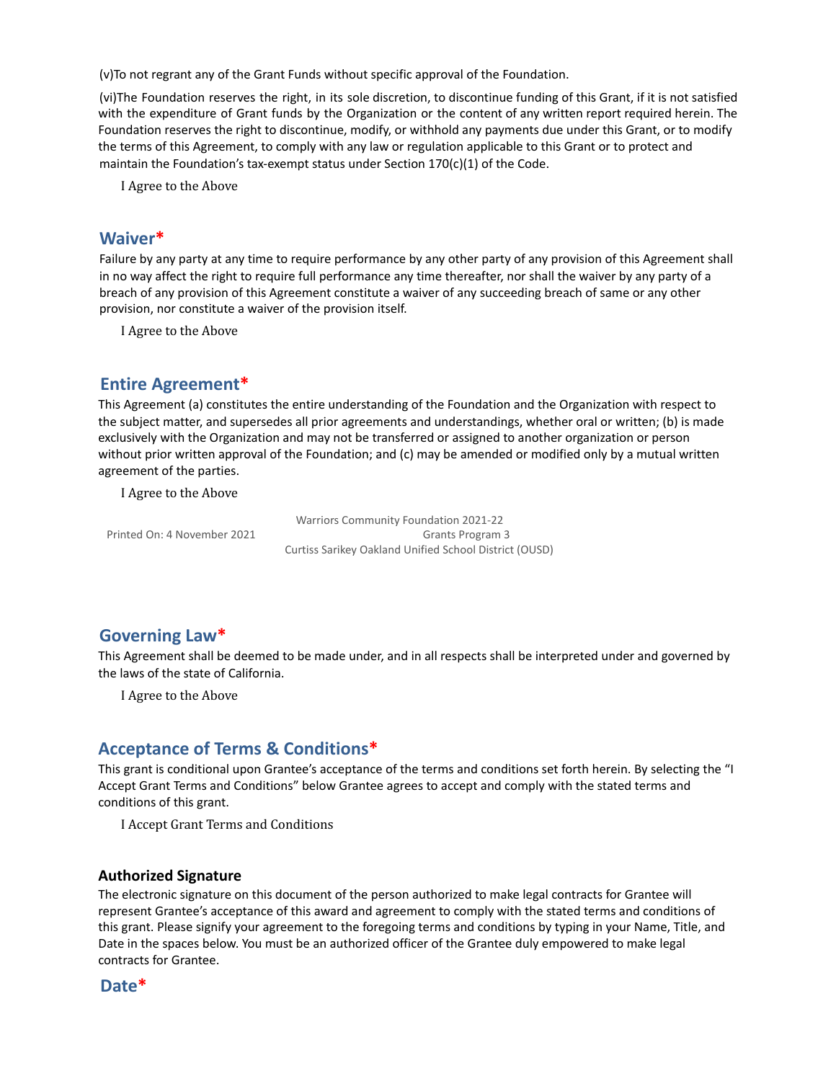(v)To not regrant any of the Grant Funds without specific approval of the Foundation.

(vi)The Foundation reserves the right, in its sole discretion, to discontinue funding of this Grant, if it is not satisfied with the expenditure of Grant funds by the Organization or the content of any written report required herein. The Foundation reserves the right to discontinue, modify, or withhold any payments due under this Grant, or to modify the terms of this Agreement, to comply with any law or regulation applicable to this Grant or to protect and maintain the Foundation's tax-exempt status under Section 170(c)(1) of the Code.

I Agree to the Above

#### **Waiver\***

Failure by any party at any time to require performance by any other party of any provision of this Agreement shall in no way affect the right to require full performance any time thereafter, nor shall the waiver by any party of a breach of any provision of this Agreement constitute a waiver of any succeeding breach of same or any other provision, nor constitute a waiver of the provision itself.

I Agree to the Above

#### **Entire Agreement\***

This Agreement (a) constitutes the entire understanding of the Foundation and the Organization with respect to the subject matter, and supersedes all prior agreements and understandings, whether oral or written; (b) is made exclusively with the Organization and may not be transferred or assigned to another organization or person without prior written approval of the Foundation; and (c) may be amended or modified only by a mutual written agreement of the parties.

I Agree to the Above

Warriors Community Foundation 2021-22 Printed On: 4 November 2021 Grants Program 3 Curtiss Sarikey Oakland Unified School District (OUSD)

#### **Governing Law\***

This Agreement shall be deemed to be made under, and in all respects shall be interpreted under and governed by the laws of the state of California.

I Agree to the Above

#### **Acceptance of Terms & Conditions\***

This grant is conditional upon Grantee's acceptance of the terms and conditions set forth herein. By selecting the "I Accept Grant Terms and Conditions" below Grantee agrees to accept and comply with the stated terms and conditions of this grant.

I Accept Grant Terms and Conditions

#### **Authorized Signature**

The electronic signature on this document of the person authorized to make legal contracts for Grantee will represent Grantee's acceptance of this award and agreement to comply with the stated terms and conditions of this grant. Please signify your agreement to the foregoing terms and conditions by typing in your Name, Title, and Date in the spaces below. You must be an authorized officer of the Grantee duly empowered to make legal contracts for Grantee.

#### **Date\***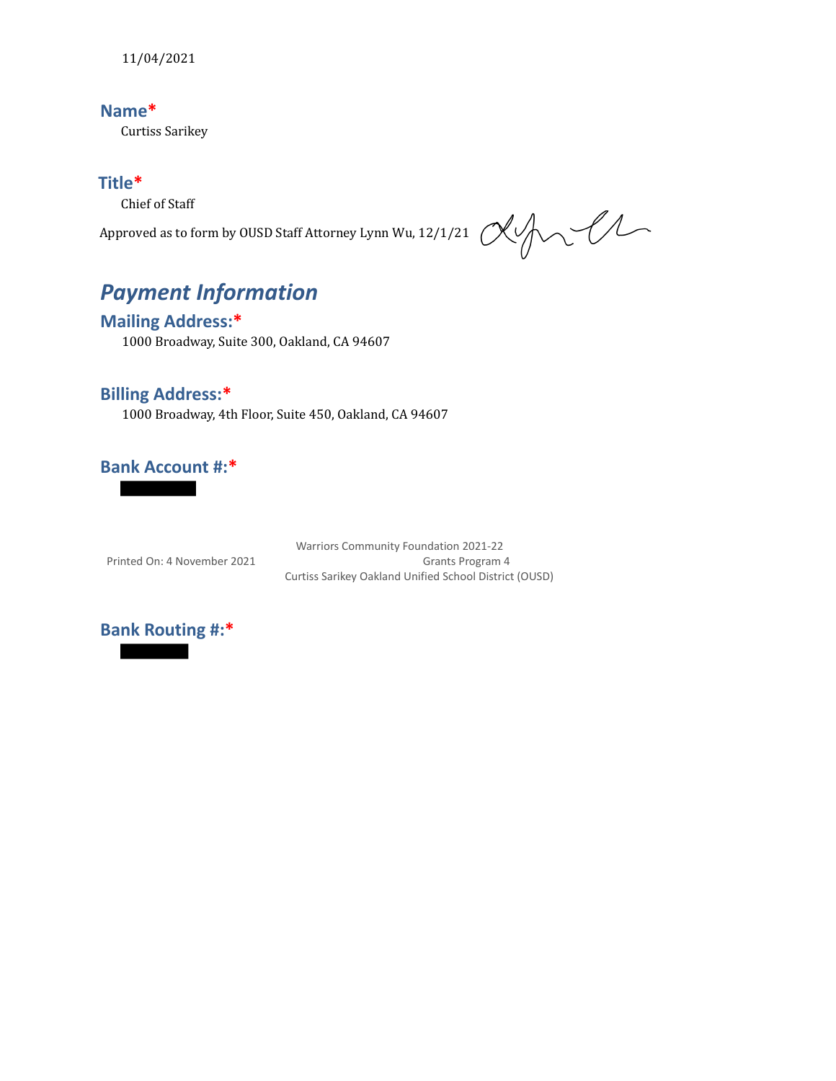### **Name\***

Curtiss Sarikey

## **Title\***

Chief of Staff

Approved as to form by OUSD Staff Attorney Lynn Wu, 12/1/21 *X* 

## *Payment Information*

## **Mailing Address:\***

1000 Broadway, Suite 300, Oakland, CA 94607

## **Billing Address:\***

1000 Broadway, 4th Floor, Suite 450, Oakland, CA 94607

## **Bank Account #:\***

Warriors Community Foundation 2021-22 Printed On: 4 November 2021 Grants Program 4 Curtiss Sarikey Oakland Unified School District (OUSD)

**Bank Routing #:\***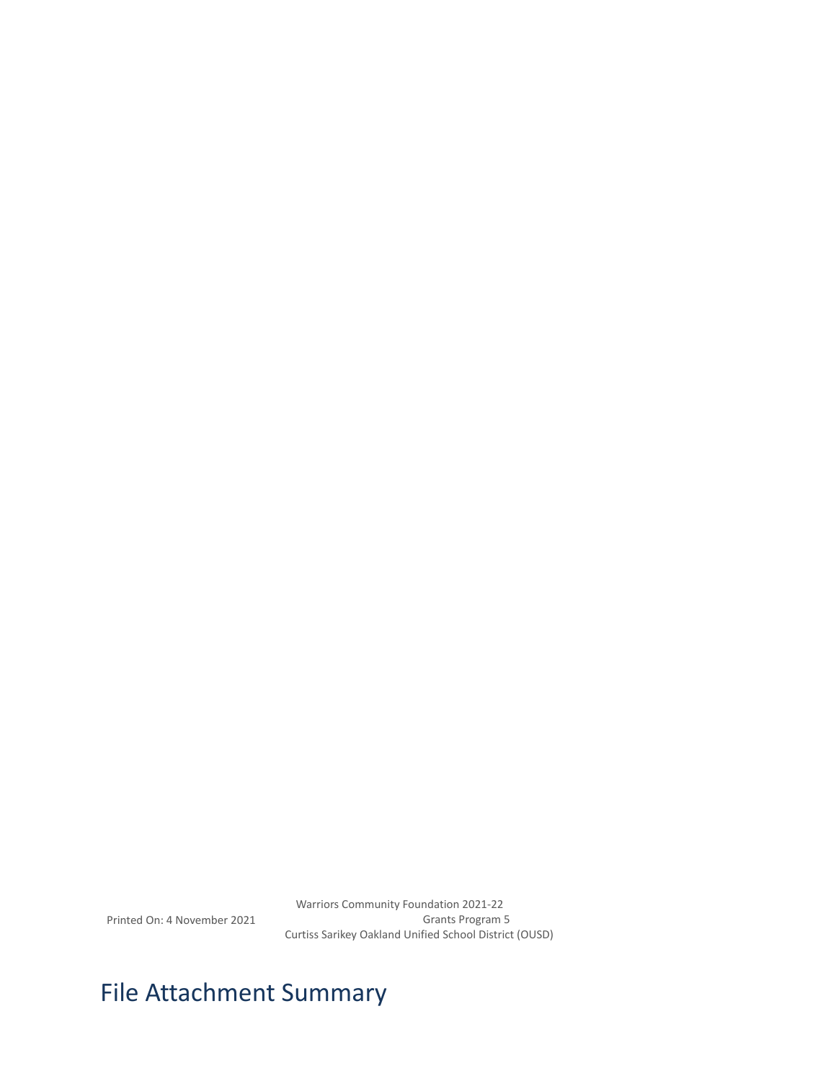Warriors Community Foundation 2021-22 Printed On: 4 November 2021 Grants Program 5 Curtiss Sarikey Oakland Unified School District (OUSD)

# File Attachment Summary